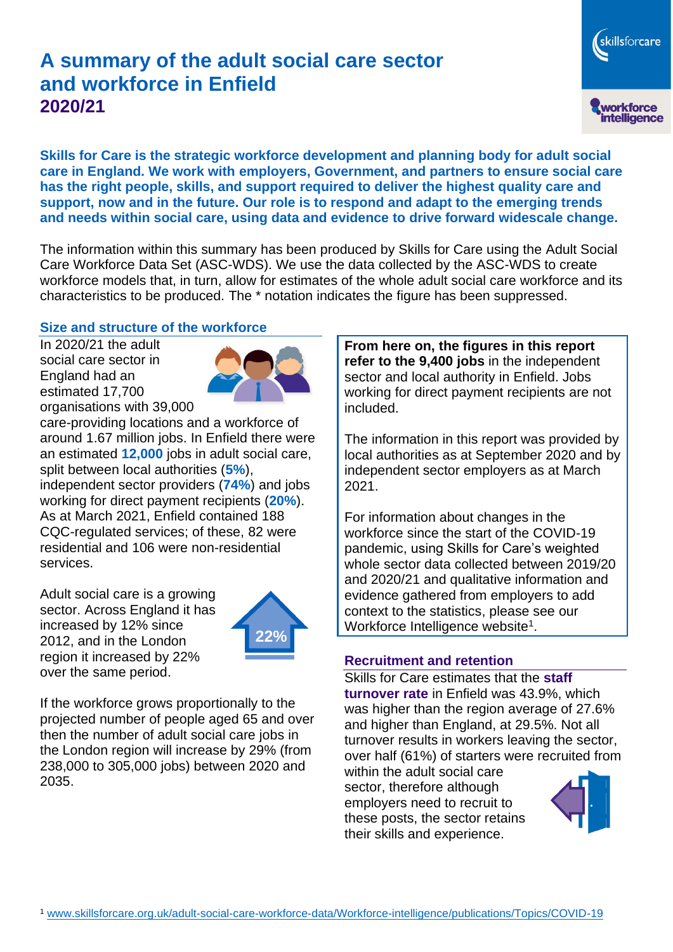# **A summary of the adult social care sector and workforce in Enfield 2020/21**

workforce<br>intelligence

skillsforcare

**Skills for Care is the strategic workforce development and planning body for adult social care in England. We work with employers, Government, and partners to ensure social care has the right people, skills, and support required to deliver the highest quality care and support, now and in the future. Our role is to respond and adapt to the emerging trends and needs within social care, using data and evidence to drive forward widescale change.**

The information within this summary has been produced by Skills for Care using the Adult Social Care Workforce Data Set (ASC-WDS). We use the data collected by the ASC-WDS to create workforce models that, in turn, allow for estimates of the whole adult social care workforce and its characteristics to be produced. The \* notation indicates the figure has been suppressed.

### **Size and structure of the workforce**

In 2020/21 the adult social care sector in England had an estimated 17,700 organisations with 39,000



care-providing locations and a workforce of around 1.67 million jobs. In Enfield there were an estimated **12,000** jobs in adult social care, split between local authorities (**5%**), independent sector providers (**74%**) and jobs working for direct payment recipients (**20%**). As at March 2021, Enfield contained 188 CQC-regulated services; of these, 82 were residential and 106 were non-residential services.

Adult social care is a growing sector. Across England it has increased by 12% since 2012, and in the London region it increased by 22% over the same period.



If the workforce grows proportionally to the projected number of people aged 65 and over then the number of adult social care jobs in the London region will increase by 29% (from 238,000 to 305,000 jobs) between 2020 and 2035.

**From here on, the figures in this report refer to the 9,400 jobs** in the independent sector and local authority in Enfield. Jobs working for direct payment recipients are not included.

The information in this report was provided by local authorities as at September 2020 and by independent sector employers as at March 2021.

For information about changes in the workforce since the start of the COVID-19 pandemic, using Skills for Care's weighted whole sector data collected between 2019/20 and 2020/21 and qualitative information and evidence gathered from employers to add context to the statistics, please see our Workforce Intelligence website<sup>1</sup>.

#### **Recruitment and retention**

Skills for Care estimates that the **staff turnover rate** in Enfield was 43.9%, which was higher than the region average of 27.6% and higher than England, at 29.5%. Not all turnover results in workers leaving the sector, over half (61%) of starters were recruited from

within the adult social care sector, therefore although employers need to recruit to these posts, the sector retains their skills and experience.

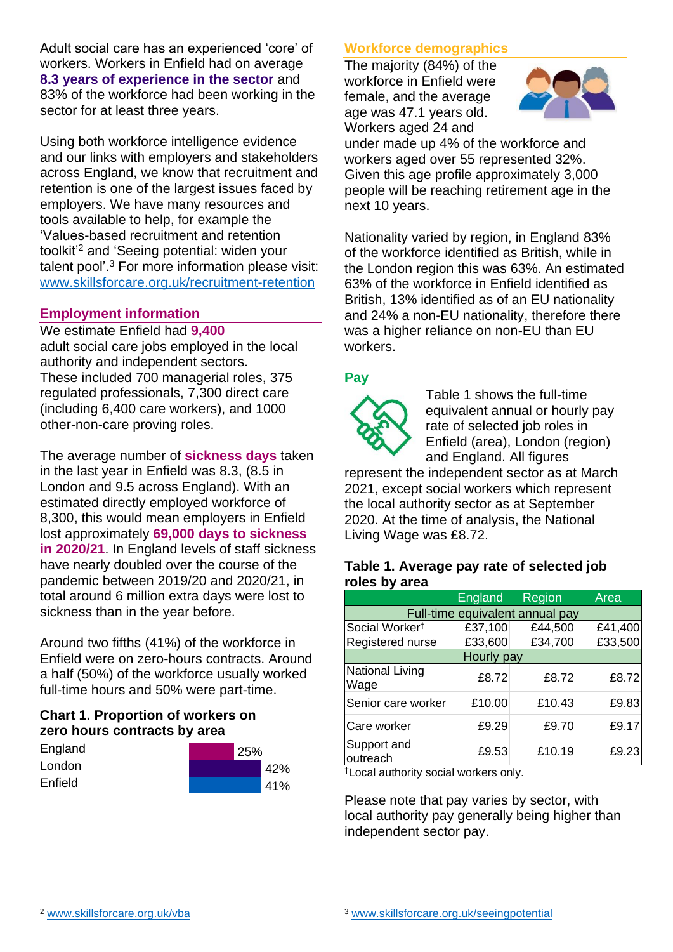Adult social care has an experienced 'core' of workers. Workers in Enfield had on average **8.3 years of experience in the sector** and 83% of the workforce had been working in the sector for at least three years.

Using both workforce intelligence evidence and our links with employers and stakeholders across England, we know that recruitment and retention is one of the largest issues faced by employers. We have many resources and tools available to help, for example the 'Values-based recruitment and retention toolkit'<sup>2</sup> and 'Seeing potential: widen your talent pool'. <sup>3</sup> For more information please visit: [www.skillsforcare.org.uk/recruitment-retention](http://www.skillsforcare.org.uk/recruitment-retention)

### **Employment information**

We estimate Enfield had **9,400** adult social care jobs employed in the local authority and independent sectors. These included 700 managerial roles, 375 regulated professionals, 7,300 direct care (including 6,400 care workers), and 1000 other-non-care proving roles.

The average number of **sickness days** taken in the last year in Enfield was 8.3, (8.5 in London and 9.5 across England). With an estimated directly employed workforce of 8,300, this would mean employers in Enfield lost approximately **69,000 days to sickness in 2020/21**. In England levels of staff sickness have nearly doubled over the course of the pandemic between 2019/20 and 2020/21, in total around 6 million extra days were lost to sickness than in the year before.

Around two fifths (41%) of the workforce in Enfield were on zero-hours contracts. Around a half (50%) of the workforce usually worked full-time hours and 50% were part-time.

# **Chart 1. Proportion of workers on zero hours contracts by area**

| England | 25% |     |
|---------|-----|-----|
| London  |     | 42% |
| Enfield |     | 41% |

### **Workforce demographics**

The majority (84%) of the workforce in Enfield were female, and the average age was 47.1 years old. Workers aged 24 and



under made up 4% of the workforce and workers aged over 55 represented 32%. Given this age profile approximately 3,000 people will be reaching retirement age in the next 10 years.

Nationality varied by region, in England 83% of the workforce identified as British, while in the London region this was 63%. An estimated 63% of the workforce in Enfield identified as British, 13% identified as of an EU nationality and 24% a non-EU nationality, therefore there was a higher reliance on non-EU than EU workers.

### **Pay**



Table 1 shows the full-time equivalent annual or hourly pay rate of selected job roles in Enfield (area), London (region) and England. All figures

represent the independent sector as at March 2021, except social workers which represent the local authority sector as at September 2020. At the time of analysis, the National Living Wage was £8.72.

#### **Table 1. Average pay rate of selected job roles by area**

|                                 | <b>England</b> | Region  | Area    |  |  |
|---------------------------------|----------------|---------|---------|--|--|
| Full-time equivalent annual pay |                |         |         |  |  |
| Social Worker <sup>t</sup>      | £37,100        | £44,500 | £41,400 |  |  |
| Registered nurse                | £33,600        | £34,700 | £33,500 |  |  |
| Hourly pay                      |                |         |         |  |  |
| National Living<br>Wage         | £8.72          | £8.72   | £8.72   |  |  |
| Senior care worker              | £10.00         | £10.43  | £9.83   |  |  |
| Care worker                     | £9.29          | £9.70   | £9.17   |  |  |
| Support and<br>outreach         | £9.53          | £10.19  | £9.23   |  |  |

†Local authority social workers only.

Please note that pay varies by sector, with local authority pay generally being higher than independent sector pay.